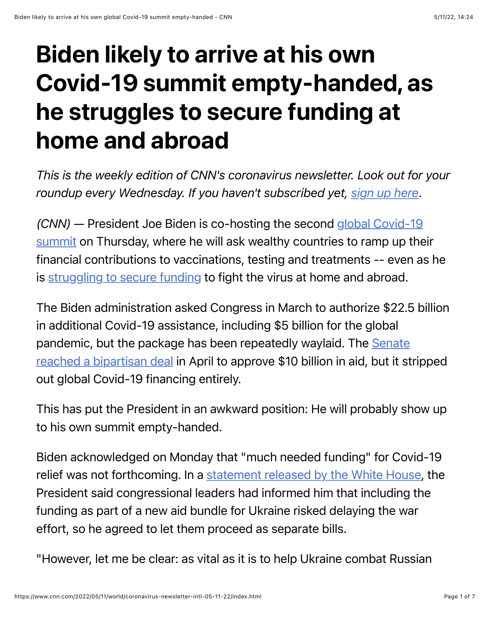# Biden likely to arrive at his own Covid-19 summit empty-handed, as he struggles to secure funding at home and abroad

*This is the weekly edition of CNN's coronavirus newsletter. Look out for your roundup every Wednesday. If you haven't subscribed yet, [sign up here](https://edition.cnn.com/specials/coronavirus-newsletter)*.

*(CNN)* — President Joe Biden is co-hosting the second global Covid-19 [summit on Thursday, where he will ask wealthy countries to ramp up the](https://www.cnn.com/2022/05/09/politics/joe-biden-covid-summit-remarks/index.html)ir financial contributions to vaccinations, testing and treatments -- even as he is [struggling to secure funding](https://www.cnn.com/2022/03/17/politics/covid-funding-detailed/index.html) to fight the virus at home and abroad.

The Biden administration asked Congress in March to authorize \$22.5 billion in additional Covid-19 assistance, including \$5 billion for the global [pandemic, but the package has been repeatedly waylaid. The Senate](https://www.cnn.com/2022/04/04/politics/covid-19-aid-bill-whats-in-it/index.html) reached a bipartisan deal in April to approve \$10 billion in aid, but it stripped out global Covid-19 financing entirely.

This has put the President in an awkward position: He will probably show up to his own summit empty-handed.

Biden acknowledged on Monday that "much needed funding" for Covid-19 relief was not forthcoming. In a [statement released by the White House](https://www.whitehouse.gov/briefing-room/statements-releases/2022/05/09/statement-by-president-joe-biden-on-funding-for-covid-19-and-ukraine/), the President said congressional leaders had informed him that including the funding as part of a new aid bundle for Ukraine risked delaying the war effort, so he agreed to let them proceed as separate bills.

"However, let me be clear: as vital as it is to help Ukraine combat Russian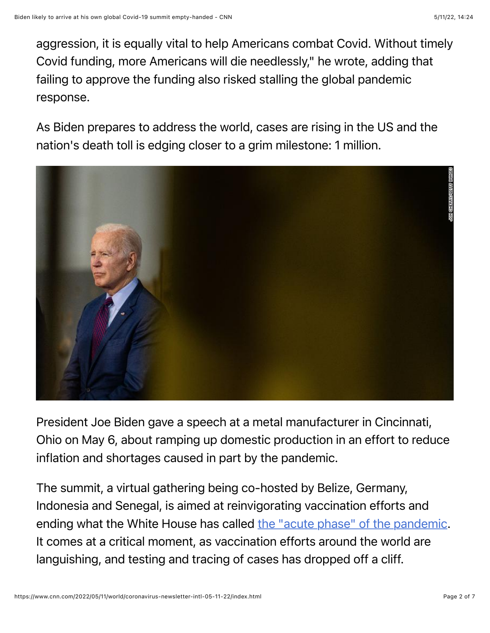aggression, it is equally vital to help Americans combat Covid. Without timely Covid funding, more Americans will die needlessly," he wrote, adding that failing to approve the funding also risked stalling the global pandemic response.

As Biden prepares to address the world, cases are rising in the US and the nation's death toll is edging closer to a grim milestone: 1 million.



President Joe Biden gave a speech at a metal manufacturer in Cincinnati, Ohio on May 6, about ramping up domestic production in an effort to reduce inflation and shortages caused in part by the pandemic.

The summit, a virtual gathering being co-hosted by Belize, Germany, Indonesia and Senegal, is aimed at reinvigorating vaccination efforts and ending what the White House has called [the "acute phase" of the pandemic](https://www.whitehouse.gov/briefing-room/statements-releases/2022/04/18/joint-statement-between-the-united-states-belize-germany-indonesia-and-senegal-on-the-announcement-of-the-second-global-covid-19-summit/). It comes at a critical moment, as vaccination efforts around the world are languishing, and testing and tracing of cases has dropped off a cliff.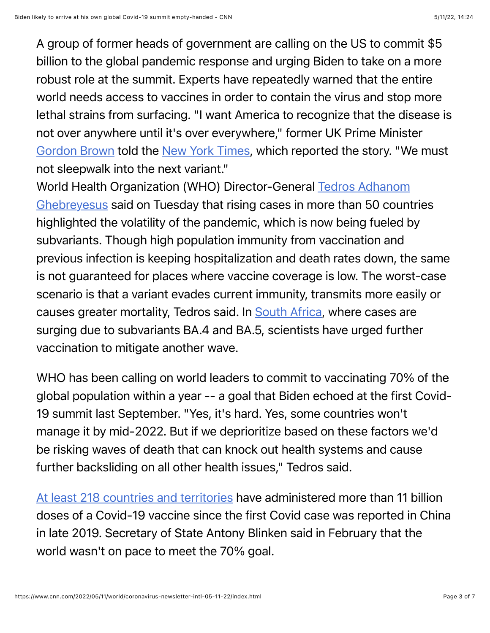A group of former heads of government are calling on the US to commit \$5 billion to the global pandemic response and urging Biden to take on a more robust role at the summit. Experts have repeatedly warned that the entire world needs access to vaccines in order to contain the virus and stop more lethal strains from surfacing. "I want America to recognize that the disease is not over anywhere until it's over everywhere," former UK Prime Minister [Gordon Brown](https://twitter.com/GordonBrown/status/1523949791876628481) told the [New York Times](https://www.nytimes.com/2022/05/09/us/politics/biden-covd-aid.html), which reported the story. "We must not sleepwalk into the next variant."

[World Health Organization \(WHO\) Director-General Tedros Adhanom](https://twitter.com/WHO/status/1524029446952468482) Ghebreyesus said on Tuesday that rising cases in more than 50 countries highlighted the volatility of the pandemic, which is now being fueled by subvariants. Though high population immunity from vaccination and previous infection is keeping hospitalization and death rates down, the same is not guaranteed for places where vaccine coverage is low. The worst-case scenario is that a variant evades current immunity, transmits more easily or causes greater mortality, Tedros said. In [South Africa](https://edition.cnn.com/2022/05/04/world/coronavirus-newsletter-intl-05-04-22/index.html), where cases are surging due to subvariants BA.4 and BA.5, scientists have urged further vaccination to mitigate another wave.

WHO has been calling on world leaders to commit to vaccinating 70% of the global population within a year -- a goal that Biden echoed at the first Covid-19 summit last September. "Yes, it's hard. Yes, some countries won't manage it by mid-2022. But if we deprioritize based on these factors we'd be risking waves of death that can knock out health systems and cause further backsliding on all other health issues," Tedros said.

[At least 218 countries and territories](https://www.cnn.com/interactive/2021/health/global-covid-vaccinations/) have administered more than 11 billion doses of a Covid-19 vaccine since the first Covid case was reported in China in late 2019. Secretary of State Antony Blinken said in February that the world wasn't on pace to meet the 70% goal.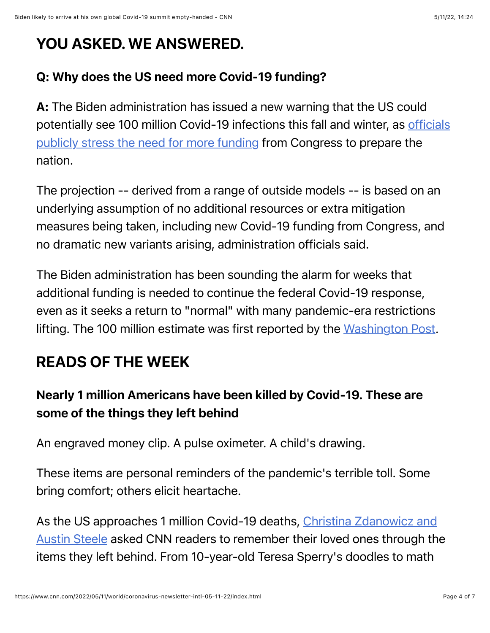# YOU ASKED. WE ANSWERED.

### Q: Why does the US need more Covid-19 funding?

A: The Biden administration has issued a new warning that the US could [potentially see 100 million Covid-19 infections this fall and winter, as officials](https://www.cnn.com/2022/05/06/politics/white-house-covid-fall-wave/index.html) publicly stress the need for more funding from Congress to prepare the nation.

The projection -- derived from a range of outside models -- is based on an underlying assumption of no additional resources or extra mitigation measures being taken, including new Covid-19 funding from Congress, and no dramatic new variants arising, administration officials said.

The Biden administration has been sounding the alarm for weeks that additional funding is needed to continue the federal Covid-19 response, even as it seeks a return to "normal" with many pandemic-era restrictions lifting. The 100 million estimate was first reported by the [Washington Post](https://www.washingtonpost.com/health/2022/05/06/fall-winter-coronavirus-wave/).

# READS OF THE WEEK

## Nearly 1 million Americans have been killed by Covid-19. These are some of the things they left behind

An engraved money clip. A pulse oximeter. A child's drawing.

These items are personal reminders of the pandemic's terrible toll. Some bring comfort; others elicit heartache.

[As the US approaches 1 million Covid-19 deaths, Christina Zdanowicz and](https://www.cnn.com/interactive/2022/05/us/covid-million-us-deaths/) Austin Steele asked CNN readers to remember their loved ones through the items they left behind. From 10-year-old Teresa Sperry's doodles to math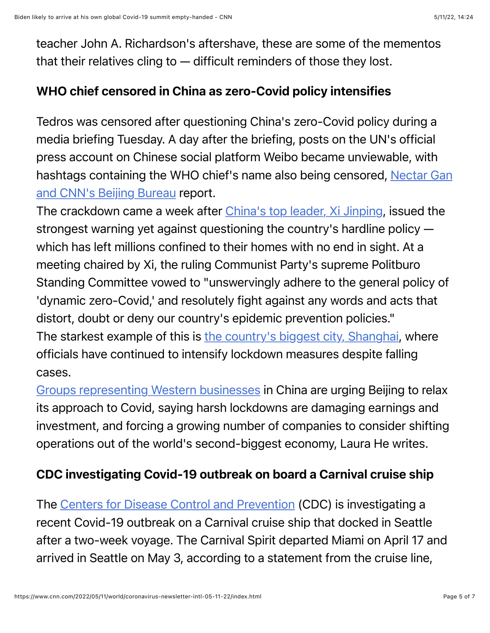teacher John A. Richardson's aftershave, these are some of the mementos that their relatives cling to — difficult reminders of those they lost.

#### WHO chief censored in China as zero-Covid policy intensifies

Tedros was censored after questioning China's zero-Covid policy during a media briefing Tuesday. A day after the briefing, posts on the UN's official press account on Chinese social platform Weibo became unviewable, with [hashtags containing the WHO chief's name also being censored, Nectar Gan](https://edition.cnn.com/2022/05/11/china/who-china-zero-covid-unsustainable-intl-hnk/index.html) and CNN's Beijing Bureau report.

The crackdown came a week after *China's top leader, Xi Jinping*, issued the strongest warning yet against questioning the country's hardline policy which has left millions confined to their homes with no end in sight. At a meeting chaired by Xi, the ruling Communist Party's supreme Politburo Standing Committee vowed to "unswervingly adhere to the general policy of 'dynamic zero-Covid,' and resolutely fight against any words and acts that distort, doubt or deny our country's epidemic prevention policies." The starkest example of this is [the country's biggest city, Shanghai](https://www.cnn.com/2022/05/09/china/china-covid-shanghai-restrictions-escalate-intl-hnk/index.html), where officials have continued to intensify lockdown measures despite falling cases.

[Groups representing Western businesses](https://www.cnn.com/2022/05/09/business/us-european-business-china-zero-covid-intl-hnk/index.html) in China are urging Beijing to relax its approach to Covid, saying harsh lockdowns are damaging earnings and investment, and forcing a growing number of companies to consider shifting operations out of the world's second-biggest economy, Laura He writes.

#### CDC investigating Covid-19 outbreak on board a Carnival cruise ship

The [Centers for Disease Control and Prevention](https://www.cnn.com/2022/05/07/us/carnival-cruise-ship-covid-outbreak-cdc/index.html) (CDC) is investigating a recent Covid-19 outbreak on a Carnival cruise ship that docked in Seattle after a two-week voyage. The Carnival Spirit departed Miami on April 17 and arrived in Seattle on May 3, according to a statement from the cruise line,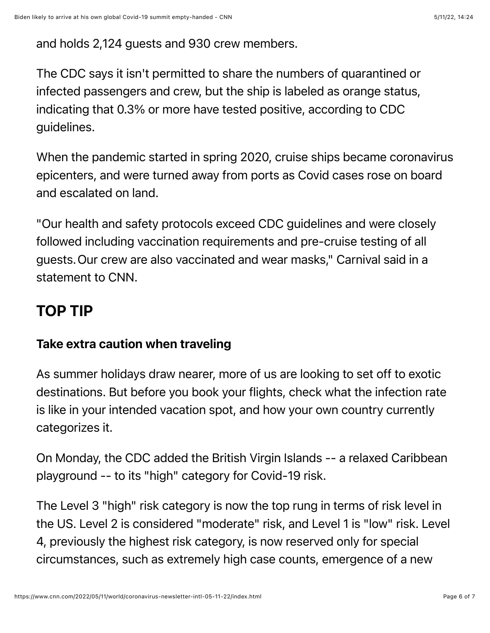and holds 2,124 guests and 930 crew members.

The CDC says it isn't permitted to share the numbers of quarantined or infected passengers and crew, but the ship is labeled as orange status, indicating that 0.3% or more have tested positive, according to CDC guidelines.

When the pandemic started in spring 2020, cruise ships became coronavirus epicenters, and were turned away from ports as Covid cases rose on board and escalated on land.

"Our health and safety protocols exceed CDC guidelines and were closely followed including vaccination requirements and pre-cruise testing of all guests.Our crew are also vaccinated and wear masks," Carnival said in a statement to CNN.

## TOP TIP

#### Take extra caution when traveling

As summer holidays draw nearer, more of us are looking to set off to exotic destinations. But before you book your flights, check what the infection rate is like in your intended vacation spot, and how your own country currently categorizes it.

On Monday, the CDC added the British Virgin Islands -- a relaxed Caribbean playground -- to its "high" category for Covid-19 risk.

The Level 3 "high" risk category is now the top rung in terms of risk level in the US. Level 2 is considered "moderate" risk, and Level 1 is "low" risk. Level 4, previously the highest risk category, is now reserved only for special circumstances, such as extremely high case counts, emergence of a new